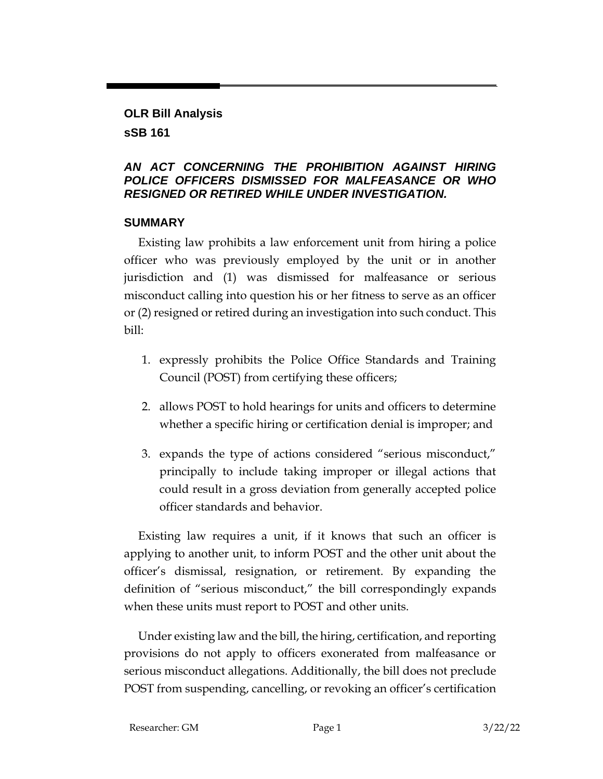# **OLR Bill Analysis**

# **sSB 161**

# *AN ACT CONCERNING THE PROHIBITION AGAINST HIRING POLICE OFFICERS DISMISSED FOR MALFEASANCE OR WHO RESIGNED OR RETIRED WHILE UNDER INVESTIGATION.*

## **SUMMARY**

Existing law prohibits a law enforcement unit from hiring a police officer who was previously employed by the unit or in another jurisdiction and (1) was dismissed for malfeasance or serious misconduct calling into question his or her fitness to serve as an officer or (2) resigned or retired during an investigation into such conduct. This bill:

- 1. expressly prohibits the Police Office Standards and Training Council (POST) from certifying these officers;
- 2. allows POST to hold hearings for units and officers to determine whether a specific hiring or certification denial is improper; and
- 3. expands the type of actions considered "serious misconduct," principally to include taking improper or illegal actions that could result in a gross deviation from generally accepted police officer standards and behavior.

Existing law requires a unit, if it knows that such an officer is applying to another unit, to inform POST and the other unit about the officer's dismissal, resignation, or retirement. By expanding the definition of "serious misconduct," the bill correspondingly expands when these units must report to POST and other units.

Under existing law and the bill, the hiring, certification, and reporting provisions do not apply to officers exonerated from malfeasance or serious misconduct allegations. Additionally, the bill does not preclude POST from suspending, cancelling, or revoking an officer's certification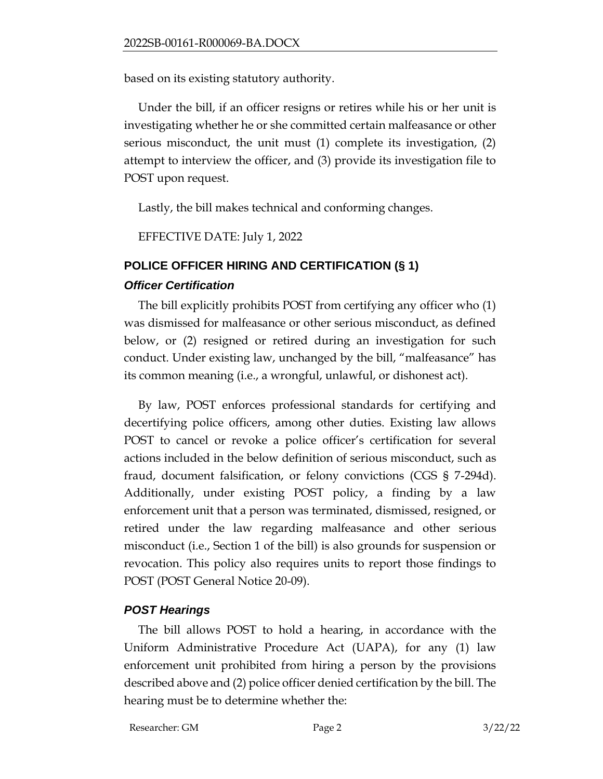based on its existing statutory authority.

Under the bill, if an officer resigns or retires while his or her unit is investigating whether he or she committed certain malfeasance or other serious misconduct, the unit must (1) complete its investigation, (2) attempt to interview the officer, and (3) provide its investigation file to POST upon request.

Lastly, the bill makes technical and conforming changes.

EFFECTIVE DATE: July 1, 2022

# **POLICE OFFICER HIRING AND CERTIFICATION (§ 1)** *Officer Certification*

The bill explicitly prohibits POST from certifying any officer who (1) was dismissed for malfeasance or other serious misconduct, as defined below, or (2) resigned or retired during an investigation for such conduct. Under existing law, unchanged by the bill, "malfeasance" has its common meaning (i.e., a wrongful, unlawful, or dishonest act).

By law, POST enforces professional standards for certifying and decertifying police officers, among other duties. Existing law allows POST to cancel or revoke a police officer's certification for several actions included in the below definition of serious misconduct, such as fraud, document falsification, or felony convictions (CGS § 7-294d). Additionally, under existing POST policy, a finding by a law enforcement unit that a person was terminated, dismissed, resigned, or retired under the law regarding malfeasance and other serious misconduct (i.e., Section 1 of the bill) is also grounds for suspension or revocation. This policy also requires units to report those findings to POST (POST General Notice 20-09).

# *POST Hearings*

The bill allows POST to hold a hearing, in accordance with the Uniform Administrative Procedure Act (UAPA), for any (1) law enforcement unit prohibited from hiring a person by the provisions described above and (2) police officer denied certification by the bill. The hearing must be to determine whether the: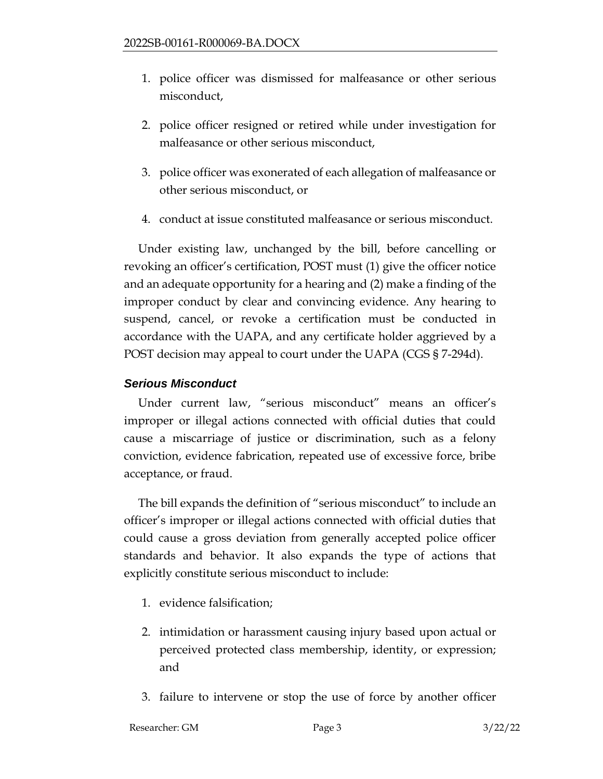- 1. police officer was dismissed for malfeasance or other serious misconduct,
- 2. police officer resigned or retired while under investigation for malfeasance or other serious misconduct,
- 3. police officer was exonerated of each allegation of malfeasance or other serious misconduct, or
- 4. conduct at issue constituted malfeasance or serious misconduct.

Under existing law, unchanged by the bill, before cancelling or revoking an officer's certification, POST must (1) give the officer notice and an adequate opportunity for a hearing and (2) make a finding of the improper conduct by clear and convincing evidence. Any hearing to suspend, cancel, or revoke a certification must be conducted in accordance with the UAPA, and any certificate holder aggrieved by a POST decision may appeal to court under the UAPA (CGS § 7-294d).

# *Serious Misconduct*

Under current law, "serious misconduct" means an officer's improper or illegal actions connected with official duties that could cause a miscarriage of justice or discrimination, such as a felony conviction, evidence fabrication, repeated use of excessive force, bribe acceptance, or fraud.

The bill expands the definition of "serious misconduct" to include an officer's improper or illegal actions connected with official duties that could cause a gross deviation from generally accepted police officer standards and behavior. It also expands the type of actions that explicitly constitute serious misconduct to include:

- 1. evidence falsification;
- 2. intimidation or harassment causing injury based upon actual or perceived protected class membership, identity, or expression; and
- 3. failure to intervene or stop the use of force by another officer

#### Researcher: GM Page 3 3/22/22